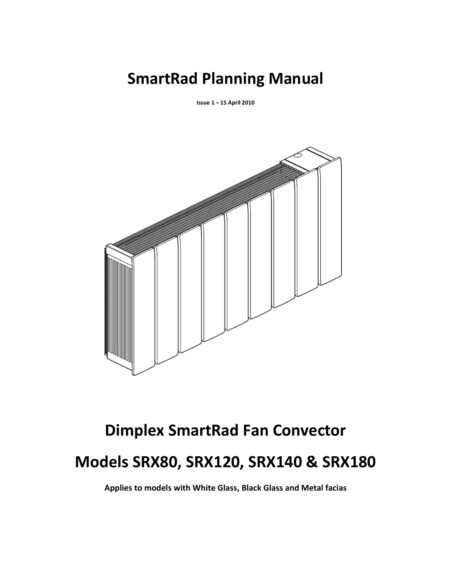# SmartRad Planning Manual

Issue 1 – 15 April 2010



# Dimplex SmartRad Fan Convector Models SRX80, SRX120, SRX140 & SRX180

Applies to models with White Glass, Black Glass and Metal facias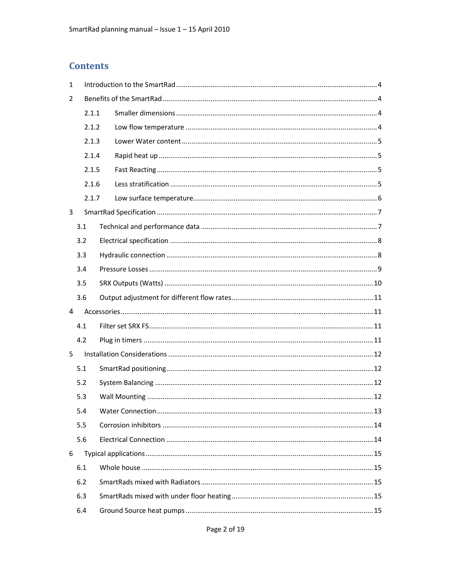# **Contents**

| 1 |       |  |  |  |
|---|-------|--|--|--|
| 2 |       |  |  |  |
|   | 2.1.1 |  |  |  |
|   | 2.1.2 |  |  |  |
|   | 2.1.3 |  |  |  |
|   | 2.1.4 |  |  |  |
|   | 2.1.5 |  |  |  |
|   | 2.1.6 |  |  |  |
|   | 2.1.7 |  |  |  |
| 3 |       |  |  |  |
|   | 3.1   |  |  |  |
|   | 3.2   |  |  |  |
|   | 3.3   |  |  |  |
|   | 3.4   |  |  |  |
|   | 3.5   |  |  |  |
|   | 3.6   |  |  |  |
| 4 |       |  |  |  |
|   | 4.1   |  |  |  |
|   | 4.2   |  |  |  |
| 5 |       |  |  |  |
|   | 5.1   |  |  |  |
|   | 5.2   |  |  |  |
|   | 5.3   |  |  |  |
|   | 5.4   |  |  |  |
|   | 5.5   |  |  |  |
|   | 5.6   |  |  |  |
| 6 |       |  |  |  |
|   | 6.1   |  |  |  |
|   | 6.2   |  |  |  |
|   | 6.3   |  |  |  |
|   | 6.4   |  |  |  |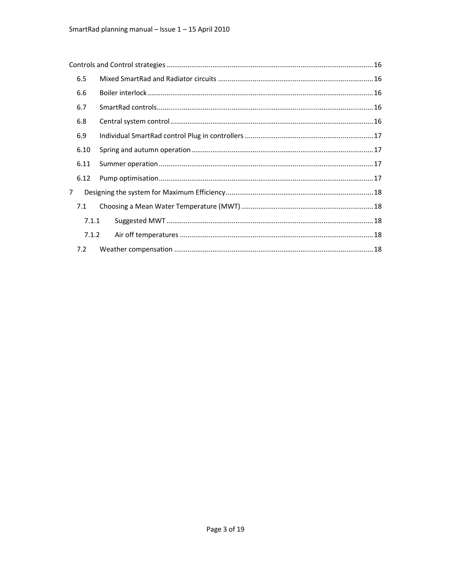|                | 6.5   |  |  |  |
|----------------|-------|--|--|--|
|                | 6.6   |  |  |  |
|                | 6.7   |  |  |  |
|                | 6.8   |  |  |  |
|                | 6.9   |  |  |  |
|                | 6.10  |  |  |  |
|                | 6.11  |  |  |  |
|                | 6.12  |  |  |  |
| $\overline{7}$ |       |  |  |  |
|                | 7.1   |  |  |  |
|                | 7.1.1 |  |  |  |
|                | 7.1.2 |  |  |  |
|                | 7.2   |  |  |  |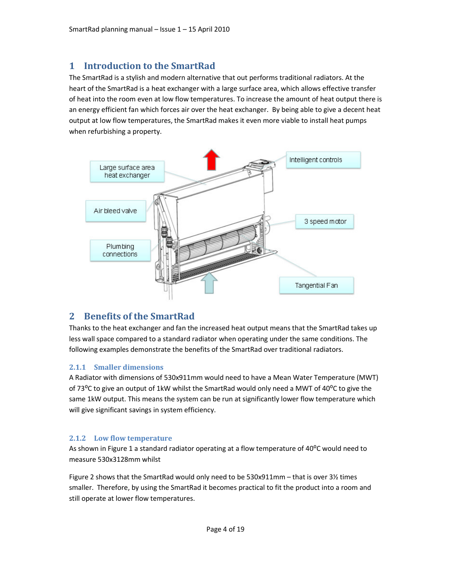# 1 Introduction to the SmartRad

The SmartRad is a stylish and modern alternative that out performs traditional radiators. At the heart of the SmartRad is a heat exchanger with a large surface area, which allows effective transfer of heat into the room even at low flow temperatures. To increase the amount of heat output there is an energy efficient fan which forces air over the heat exchanger. By being able to give a decent heat output at low flow temperatures, the SmartRad makes it even more viable to install heat pumps when refurbishing a property.



# 2 Benefits of the SmartRad

Thanks to the heat exchanger and fan the increased heat output means that the SmartRad takes up less wall space compared to a standard radiator when operating under the same conditions. The following examples demonstrate the benefits of the SmartRad over traditional radiators.

#### 2.1.1 Smaller dimensions

A Radiator with dimensions of 530x911mm would need to have a Mean Water Temperature (MWT) of 73<sup>o</sup>C to give an output of 1kW whilst the SmartRad would only need a MWT of 40<sup>o</sup>C to give the same 1kW output. This means the system can be run at significantly lower flow temperature which will give significant savings in system efficiency.

#### 2.1.2 Low flow temperature

As shown in Figure 1 a standard radiator operating at a flow temperature of 40<sup>o</sup>C would need to measure 530x3128mm whilst

Figure 2 shows that the SmartRad would only need to be 530x911mm – that is over 3½ times smaller. Therefore, by using the SmartRad it becomes practical to fit the product into a room and still operate at lower flow temperatures.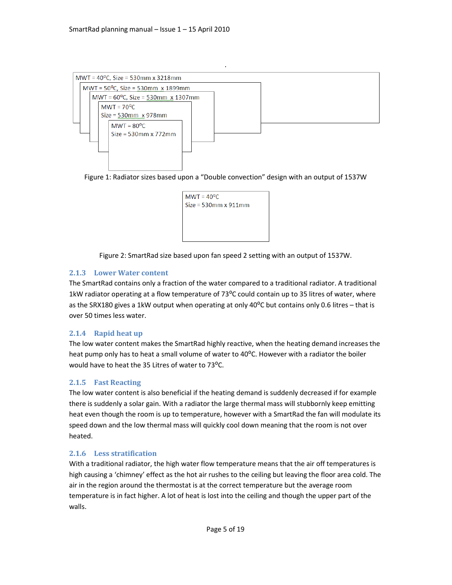

Figure 1: Radiator sizes based upon a "Double convection" design with an output of 1537W



Figure 2: SmartRad size based upon fan speed 2 setting with an output of 1537W.

#### 2.1.3 Lower Water content

The SmartRad contains only a fraction of the water compared to a traditional radiator. A traditional 1kW radiator operating at a flow temperature of 73 $^{\circ}$ C could contain up to 35 litres of water, where as the SRX180 gives a 1kW output when operating at only 40°C but contains only 0.6 litres - that is over 50 times less water.

#### 2.1.4 Rapid heat up

The low water content makes the SmartRad highly reactive, when the heating demand increases the heat pump only has to heat a small volume of water to 40<sup>o</sup>C. However with a radiator the boiler would have to heat the 35 Litres of water to 73°C.

#### 2.1.5 Fast Reacting

The low water content is also beneficial if the heating demand is suddenly decreased if for example there is suddenly a solar gain. With a radiator the large thermal mass will stubbornly keep emitting heat even though the room is up to temperature, however with a SmartRad the fan will modulate its speed down and the low thermal mass will quickly cool down meaning that the room is not over heated.

#### 2.1.6 Less stratification

With a traditional radiator, the high water flow temperature means that the air off temperatures is high causing a 'chimney' effect as the hot air rushes to the ceiling but leaving the floor area cold. The air in the region around the thermostat is at the correct temperature but the average room temperature is in fact higher. A lot of heat is lost into the ceiling and though the upper part of the walls.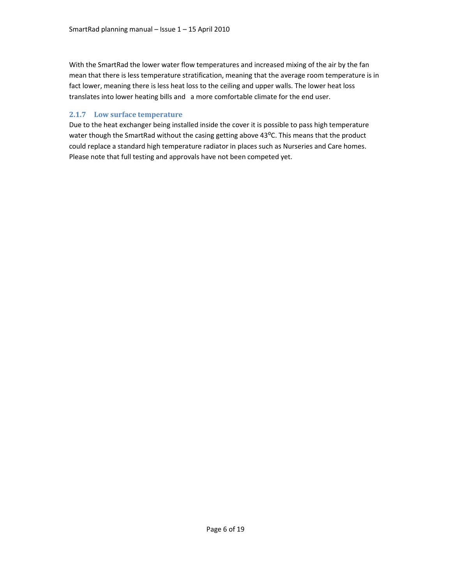With the SmartRad the lower water flow temperatures and increased mixing of the air by the fan mean that there is less temperature stratification, meaning that the average room temperature is in fact lower, meaning there is less heat loss to the ceiling and upper walls. The lower heat loss translates into lower heating bills and a more comfortable climate for the end user.

#### 2.1.7 Low surface temperature

Due to the heat exchanger being installed inside the cover it is possible to pass high temperature water though the SmartRad without the casing getting above 43°C. This means that the product could replace a standard high temperature radiator in places such as Nurseries and Care homes. Please note that full testing and approvals have not been competed yet.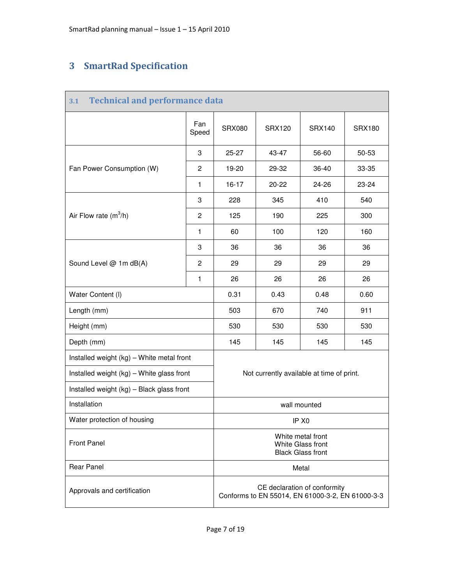# 3 SmartRad Specification

| 3.1                                       | <b>Technical and performance data</b> |                                                                                  |               |               |               |
|-------------------------------------------|---------------------------------------|----------------------------------------------------------------------------------|---------------|---------------|---------------|
|                                           | Fan<br>Speed                          | <b>SRX080</b>                                                                    | <b>SRX120</b> | <b>SRX140</b> | <b>SRX180</b> |
|                                           | 3                                     | $25 - 27$                                                                        | 43-47         | 56-60         | 50-53         |
| Fan Power Consumption (W)                 | $\overline{c}$                        | 19-20                                                                            | 29-32         | 36-40         | 33-35         |
|                                           | $\mathbf{1}$                          | $16 - 17$                                                                        | $20 - 22$     | 24-26         | 23-24         |
|                                           | 3                                     | 228                                                                              | 345           | 410           | 540           |
| Air Flow rate $(m^3/h)$                   | $\overline{c}$                        | 125                                                                              | 190           | 225           | 300           |
|                                           | $\mathbf{1}$                          | 60                                                                               | 100           | 120           | 160           |
|                                           | 3                                     | 36                                                                               | 36            | 36            | 36            |
| Sound Level @ 1m dB(A)                    | $\overline{2}$                        | 29                                                                               | 29            | 29            | 29            |
|                                           | $\mathbf{1}$                          | 26                                                                               | 26            | 26            | 26            |
| Water Content (I)                         |                                       | 0.31                                                                             | 0.43          | 0.48          | 0.60          |
| Length (mm)                               | 503                                   | 670                                                                              | 740           | 911           |               |
| Height (mm)                               | 530                                   | 530                                                                              | 530           | 530           |               |
| Depth (mm)                                | 145                                   | 145                                                                              | 145           | 145           |               |
| Installed weight (kg) - White metal front |                                       |                                                                                  |               |               |               |
| Installed weight (kg) - White glass front |                                       | Not currently available at time of print.                                        |               |               |               |
| Installed weight (kg) - Black glass front |                                       |                                                                                  |               |               |               |
| Installation                              |                                       | wall mounted                                                                     |               |               |               |
| Water protection of housing               |                                       | IP X <sub>0</sub>                                                                |               |               |               |
| <b>Front Panel</b>                        |                                       | White metal front<br>White Glass front<br><b>Black Glass front</b>               |               |               |               |
| <b>Rear Panel</b>                         |                                       | Metal                                                                            |               |               |               |
| Approvals and certification               |                                       | CE declaration of conformity<br>Conforms to EN 55014, EN 61000-3-2, EN 61000-3-3 |               |               |               |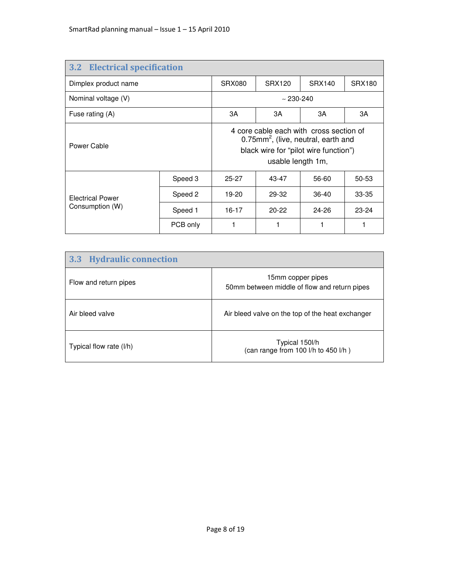| <b>3.2 Electrical specification</b> |              |                                                                                                                                                          |               |               |               |
|-------------------------------------|--------------|----------------------------------------------------------------------------------------------------------------------------------------------------------|---------------|---------------|---------------|
| Dimplex product name                |              | SRX080                                                                                                                                                   | <b>SRX120</b> | <b>SRX140</b> | <b>SRX180</b> |
| Nominal voltage (V)                 | $~230 - 240$ |                                                                                                                                                          |               |               |               |
| Fuse rating (A)                     |              | 3A                                                                                                                                                       | 3A            | 3A            | ЗA            |
| Power Cable                         |              | 4 core cable each with cross section of<br>0.75mm <sup>2</sup> , (live, neutral, earth and<br>black wire for "pilot wire function")<br>usable length 1m, |               |               |               |
|                                     | Speed 3      | $25 - 27$                                                                                                                                                | 43-47         | 56-60         | $50 - 53$     |
| <b>Electrical Power</b>             | Speed 2      | 19-20                                                                                                                                                    | 29-32         | $36-40$       | $33 - 35$     |
| Consumption (W)                     | Speed 1      | $16 - 17$                                                                                                                                                | $20 - 22$     | $24 - 26$     | $23 - 24$     |
|                                     | PCB only     |                                                                                                                                                          |               |               |               |

| <b>Hydraulic connection</b><br>3.3 |                                                                   |
|------------------------------------|-------------------------------------------------------------------|
| Flow and return pipes              | 15mm copper pipes<br>50mm between middle of flow and return pipes |
| Air bleed valve                    | Air bleed valve on the top of the heat exchanger                  |
| Typical flow rate (I/h)            | Typical 150l/h<br>(can range from 100 l/h to 450 l/h)             |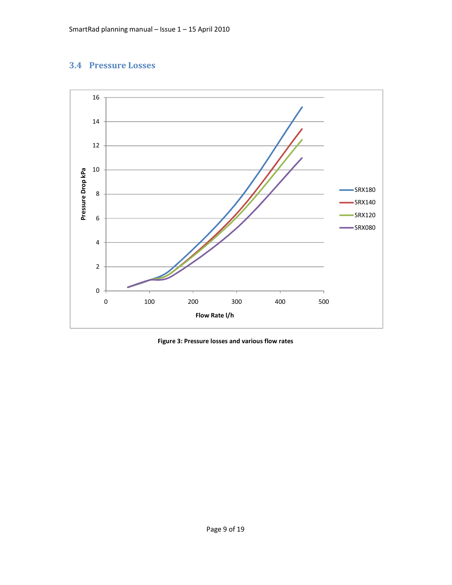# 3.4 Pressure Losses



Figure 3: Pressure losses and various flow rates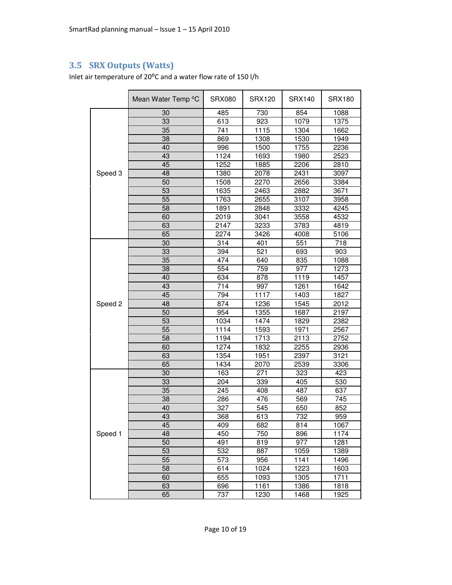# 3.5 SRX Outputs (Watts)

Inlet air temperature of 20°C and a water flow rate of 150 l/h

|         | Mean Water Temp °C | <b>SRX080</b>    | <b>SRX120</b> | <b>SRX140</b> | <b>SRX180</b> |
|---------|--------------------|------------------|---------------|---------------|---------------|
|         | 30                 | 485              | 730           | 854           | 1088          |
|         | 33                 | 613              | 923           | 1079          | 1375          |
|         | 35                 | 741              | 1115          | 1304          | 1662          |
|         | 38                 | 869              | 1308          | 1530          | 1949          |
|         | 40                 | 996              | 1500          | 1755          | 2236          |
|         | 43                 | 1124             | 1693          | 1980          | 2523          |
|         | 45                 | 1252             | 1885          | 2206          | 2810          |
| Speed 3 | 48                 | 1380             | 2078          | 2431          | 3097          |
|         | 50                 | 1508             | 2270          | 2656          | 3384          |
|         | 53                 | 1635             | 2463          | 2882          | 3671          |
|         | 55                 | 1763             | 2655          | 3107          | 3958          |
|         | 58                 | 1891             | 2848          | 3332          | 4245          |
|         | 60                 | 2019             | 3041          | 3558          | 4532          |
|         | 63                 | 2147             | 3233          | 3783          | 4819          |
|         | 65                 | 2274             | 3426          | 4008          | 5106          |
|         | 30                 | 314              | 401           | 551           | 718           |
|         | 33                 | 394              | 521           | 693           | 903           |
|         | 35                 | 474              | 640           | 835           | 1088          |
|         | 38                 | 554              | 759           | 977           | 1273          |
|         | 40                 | 634              | 878           | 1119          | 1457          |
|         | 43                 | 714              | 997           | 1261          | 1642          |
|         | 45                 | 794              | 1117          | 1403          | 1827          |
| Speed 2 | 48                 | 874              | 1236          | 1545          | 2012          |
|         | $\overline{50}$    | 954              | 1355          | 1687          | 2197          |
|         | 53                 | 1034             | 1474          | 1829          | 2382          |
|         | 55                 | 1114             | 1593          | 1971          | 2567          |
|         | $\overline{58}$    | 1194             | 1713          | 2113          | 2752          |
|         | 60                 | 1274             | 1832          | 2255          | 2936          |
|         | 63                 | 1354             | 1951          | 2397          | 3121          |
|         | 65                 | 1434             | 2070          | 2539          | 3306          |
|         | 30                 | 163              | 271           | 323           | 423           |
|         | 33                 | 204              | 339           | 405           | 530           |
|         | 35                 | $\overline{245}$ | 408           | 487           | 637           |
|         | 38                 | 286              | 476           | 569           | 745           |
|         | 40                 | 327              | 545           | 650           | 852           |
|         | 43                 | 368              | 613           | 732           | 959           |
|         | 45                 | 409              | 682           | 814           | 1067          |
| Speed 1 | 48                 | 450              | 750           | 896           | 1174          |
|         | 50                 | 491              | 819           | 977           | 1281          |
|         | 53                 | 532              | 887           | 1059          | 1389          |
|         | 55                 | 573              | 956           | 1141          | 1496          |
|         | 58                 | 614              | 1024          | 1223          | 1603          |
|         | 60                 | 655              | 1093          | 1305          | 1711          |
|         | 63                 | 696              | 1161          | 1386          | 1818          |
|         | 65                 | 737              | 1230          | 1468          | 1925          |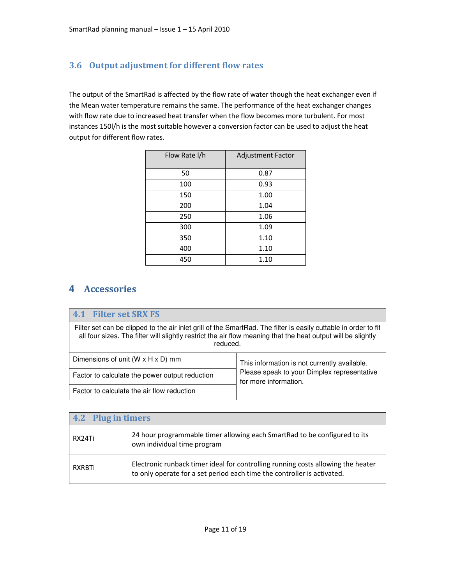# 3.6 Output adjustment for different flow rates

The output of the SmartRad is affected by the flow rate of water though the heat exchanger even if the Mean water temperature remains the same. The performance of the heat exchanger changes with flow rate due to increased heat transfer when the flow becomes more turbulent. For most instances 150l/h is the most suitable however a conversion factor can be used to adjust the heat output for different flow rates.

| Flow Rate I/h | Adjustment Factor |
|---------------|-------------------|
| 50            | 0.87              |
| 100           | 0.93              |
| 150           | 1.00              |
| 200           | 1.04              |
| 250           | 1.06              |
| 300           | 1.09              |
| 350           | 1.10              |
| 400           | 1.10              |
| 450           | 1.10              |

# **4** Accessories

| <b>4.1 Filter set SRX FS</b>                                                                                                                                                                                                                |                                                                      |  |
|---------------------------------------------------------------------------------------------------------------------------------------------------------------------------------------------------------------------------------------------|----------------------------------------------------------------------|--|
| Filter set can be clipped to the air inlet grill of the SmartRad. The filter is easily cuttable in order to fit<br>all four sizes. The filter will slightly restrict the air flow meaning that the heat output will be slightly<br>reduced. |                                                                      |  |
| Dimensions of unit ( $W \times H \times D$ ) mm                                                                                                                                                                                             | This information is not currently available.                         |  |
| Factor to calculate the power output reduction                                                                                                                                                                                              | Please speak to your Dimplex representative<br>for more information. |  |
| Factor to calculate the air flow reduction                                                                                                                                                                                                  |                                                                      |  |

| 4.2 Plug in timers |                                                                                                                                                             |  |  |  |
|--------------------|-------------------------------------------------------------------------------------------------------------------------------------------------------------|--|--|--|
| RX24Ti             | 24 hour programmable timer allowing each SmartRad to be configured to its<br>own individual time program                                                    |  |  |  |
| RXRBTi             | Electronic runback timer ideal for controlling running costs allowing the heater<br>to only operate for a set period each time the controller is activated. |  |  |  |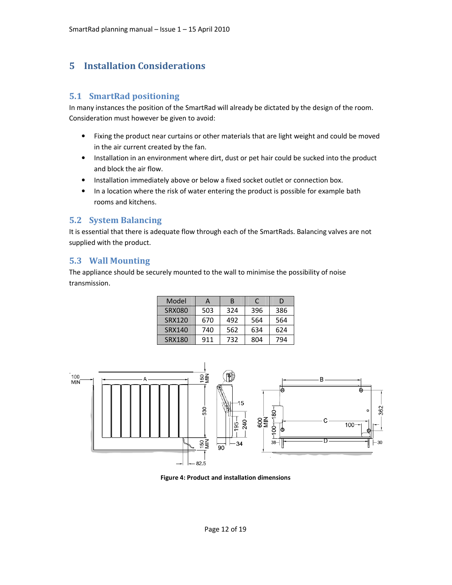# 5 Installation Considerations

#### 5.1 SmartRad positioning

In many instances the position of the SmartRad will already be dictated by the design of the room. Consideration must however be given to avoid:

- Fixing the product near curtains or other materials that are light weight and could be moved in the air current created by the fan.
- Installation in an environment where dirt, dust or pet hair could be sucked into the product and block the air flow.
- Installation immediately above or below a fixed socket outlet or connection box.
- In a location where the risk of water entering the product is possible for example bath rooms and kitchens.

#### 5.2 System Balancing

It is essential that there is adequate flow through each of the SmartRads. Balancing valves are not supplied with the product.

#### 5.3 Wall Mounting

The appliance should be securely mounted to the wall to minimise the possibility of noise transmission.

| Model         | А   | B   | C   | D   |
|---------------|-----|-----|-----|-----|
| <b>SRX080</b> | 503 | 324 | 396 | 386 |
| <b>SRX120</b> | 670 | 492 | 564 | 564 |
| SRX140        | 740 | 562 | 634 | 624 |
| SRX180        | 911 | 732 | 804 | 794 |



Figure 4: Product and installation dimensions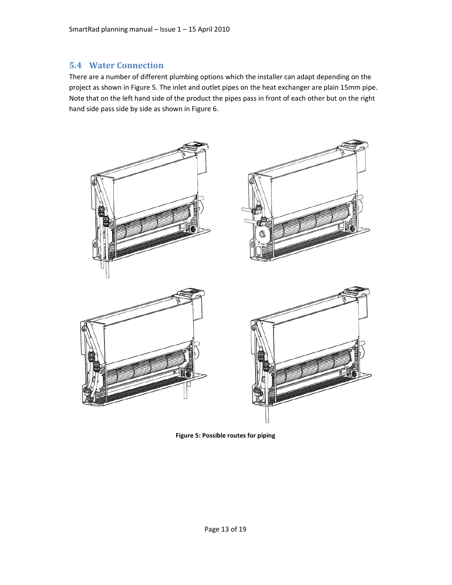#### 5.4 Water Connection

There are a number of different plumbing options which the installer can adapt depending on the project as shown in Figure 5. The inlet and outlet pipes on the heat exchanger are plain 15mm pipe. Note that on the left hand side of the product the pipes pass in front of each other but on the right hand side pass side by side as shown in Figure 6.



Figure 5: Possible routes for piping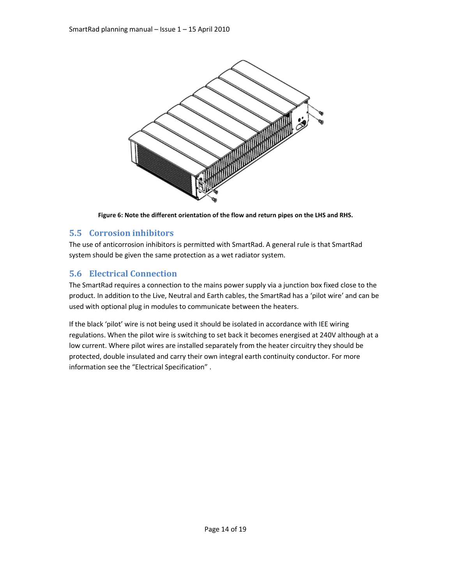

Figure 6: Note the different orientation of the flow and return pipes on the LHS and RHS.

# 5.5 Corrosion inhibitors

The use of anticorrosion inhibitors is permitted with SmartRad. A general rule is that SmartRad system should be given the same protection as a wet radiator system.

# 5.6 Electrical Connection

The SmartRad requires a connection to the mains power supply via a junction box fixed close to the product. In addition to the Live, Neutral and Earth cables, the SmartRad has a 'pilot wire' and can be used with optional plug in modules to communicate between the heaters.

If the black 'pilot' wire is not being used it should be isolated in accordance with IEE wiring regulations. When the pilot wire is switching to set back it becomes energised at 240V although at a low current. Where pilot wires are installed separately from the heater circuitry they should be protected, double insulated and carry their own integral earth continuity conductor. For more information see the "Electrical Specification" .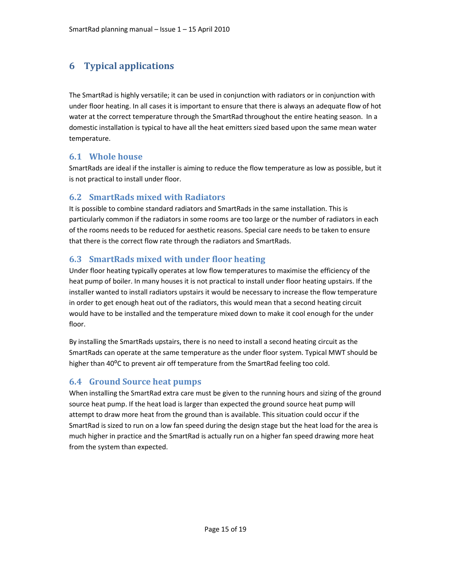# 6 Typical applications

The SmartRad is highly versatile; it can be used in conjunction with radiators or in conjunction with under floor heating. In all cases it is important to ensure that there is always an adequate flow of hot water at the correct temperature through the SmartRad throughout the entire heating season. In a domestic installation is typical to have all the heat emitters sized based upon the same mean water temperature.

# 6.1 Whole house

SmartRads are ideal if the installer is aiming to reduce the flow temperature as low as possible, but it is not practical to install under floor.

# 6.2 SmartRads mixed with Radiators

It is possible to combine standard radiators and SmartRads in the same installation. This is particularly common if the radiators in some rooms are too large or the number of radiators in each of the rooms needs to be reduced for aesthetic reasons. Special care needs to be taken to ensure that there is the correct flow rate through the radiators and SmartRads.

# 6.3 SmartRads mixed with under floor heating

Under floor heating typically operates at low flow temperatures to maximise the efficiency of the heat pump of boiler. In many houses it is not practical to install under floor heating upstairs. If the installer wanted to install radiators upstairs it would be necessary to increase the flow temperature in order to get enough heat out of the radiators, this would mean that a second heating circuit would have to be installed and the temperature mixed down to make it cool enough for the under floor.

By installing the SmartRads upstairs, there is no need to install a second heating circuit as the SmartRads can operate at the same temperature as the under floor system. Typical MWT should be higher than 40<sup>o</sup>C to prevent air off temperature from the SmartRad feeling too cold.

# 6.4 Ground Source heat pumps

When installing the SmartRad extra care must be given to the running hours and sizing of the ground source heat pump. If the heat load is larger than expected the ground source heat pump will attempt to draw more heat from the ground than is available. This situation could occur if the SmartRad is sized to run on a low fan speed during the design stage but the heat load for the area is much higher in practice and the SmartRad is actually run on a higher fan speed drawing more heat from the system than expected.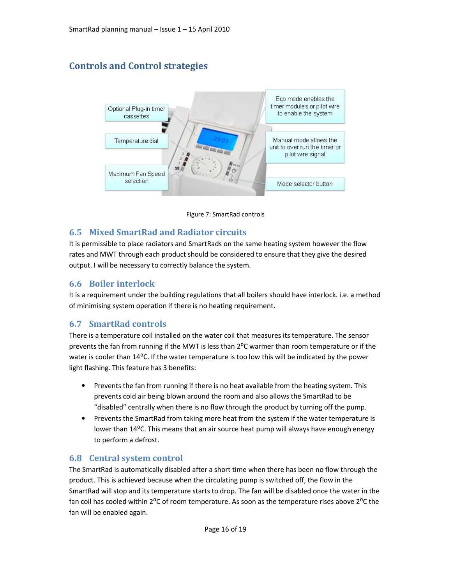# Controls and Control strategies





#### 6.5 Mixed SmartRad and Radiator circuits

It is permissible to place radiators and SmartRads on the same heating system however the flow rates and MWT through each product should be considered to ensure that they give the desired output. I will be necessary to correctly balance the system.

#### 6.6 Boiler interlock

It is a requirement under the building regulations that all boilers should have interlock. i.e. a method of minimising system operation if there is no heating requirement.

# 6.7 SmartRad controls

There is a temperature coil installed on the water coil that measures its temperature. The sensor prevents the fan from running if the MWT is less than  $2^{\circ}$ C warmer than room temperature or if the water is cooler than 14°C. If the water temperature is too low this will be indicated by the power light flashing. This feature has 3 benefits:

- Prevents the fan from running if there is no heat available from the heating system. This prevents cold air being blown around the room and also allows the SmartRad to be "disabled" centrally when there is no flow through the product by turning off the pump.
- Prevents the SmartRad from taking more heat from the system if the water temperature is lower than 14<sup>o</sup>C. This means that an air source heat pump will always have enough energy to perform a defrost.

#### 6.8 Central system control

The SmartRad is automatically disabled after a short time when there has been no flow through the product. This is achieved because when the circulating pump is switched off, the flow in the SmartRad will stop and its temperature starts to drop. The fan will be disabled once the water in the fan coil has cooled within  $2^{\circ}C$  of room temperature. As soon as the temperature rises above  $2^{\circ}C$  the fan will be enabled again.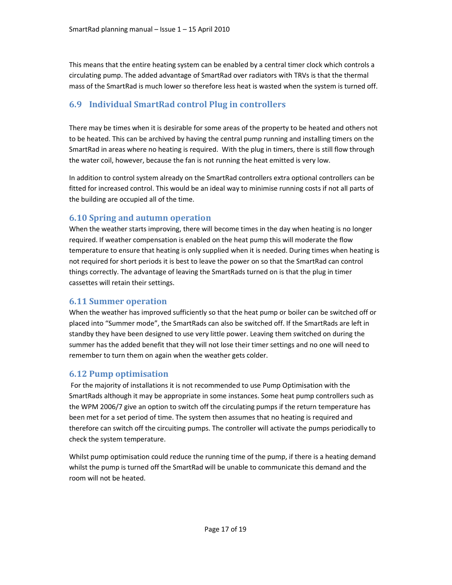This means that the entire heating system can be enabled by a central timer clock which controls a circulating pump. The added advantage of SmartRad over radiators with TRVs is that the thermal mass of the SmartRad is much lower so therefore less heat is wasted when the system is turned off.

# 6.9 Individual SmartRad control Plug in controllers

There may be times when it is desirable for some areas of the property to be heated and others not to be heated. This can be archived by having the central pump running and installing timers on the SmartRad in areas where no heating is required. With the plug in timers, there is still flow through the water coil, however, because the fan is not running the heat emitted is very low.

In addition to control system already on the SmartRad controllers extra optional controllers can be fitted for increased control. This would be an ideal way to minimise running costs if not all parts of the building are occupied all of the time.

#### 6.10 Spring and autumn operation

When the weather starts improving, there will become times in the day when heating is no longer required. If weather compensation is enabled on the heat pump this will moderate the flow temperature to ensure that heating is only supplied when it is needed. During times when heating is not required for short periods it is best to leave the power on so that the SmartRad can control things correctly. The advantage of leaving the SmartRads turned on is that the plug in timer cassettes will retain their settings.

#### 6.11 Summer operation

When the weather has improved sufficiently so that the heat pump or boiler can be switched off or placed into "Summer mode", the SmartRads can also be switched off. If the SmartRads are left in standby they have been designed to use very little power. Leaving them switched on during the summer has the added benefit that they will not lose their timer settings and no one will need to remember to turn them on again when the weather gets colder.

# 6.12 Pump optimisation

 For the majority of installations it is not recommended to use Pump Optimisation with the SmartRads although it may be appropriate in some instances. Some heat pump controllers such as the WPM 2006/7 give an option to switch off the circulating pumps if the return temperature has been met for a set period of time. The system then assumes that no heating is required and therefore can switch off the circuiting pumps. The controller will activate the pumps periodically to check the system temperature.

Whilst pump optimisation could reduce the running time of the pump, if there is a heating demand whilst the pump is turned off the SmartRad will be unable to communicate this demand and the room will not be heated.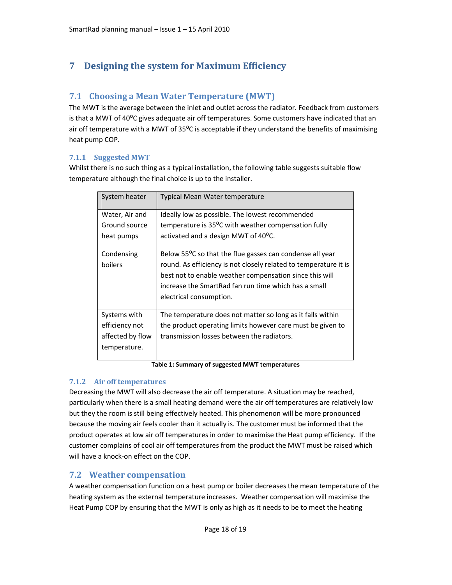# 7 Designing the system for Maximum Efficiency

#### 7.1 Choosing a Mean Water Temperature (MWT)

The MWT is the average between the inlet and outlet across the radiator. Feedback from customers is that a MWT of 40°C gives adequate air off temperatures. Some customers have indicated that an air off temperature with a MWT of 35°C is acceptable if they understand the benefits of maximising heat pump COP.

#### 7.1.1 Suggested MWT

Whilst there is no such thing as a typical installation, the following table suggests suitable flow temperature although the final choice is up to the installer.

| System heater                   | Typical Mean Water temperature                                                                                      |
|---------------------------------|---------------------------------------------------------------------------------------------------------------------|
| Water, Air and<br>Ground source | Ideally low as possible. The lowest recommended<br>temperature is 35 <sup>o</sup> C with weather compensation fully |
| heat pumps                      | activated and a design MWT of 40 <sup>o</sup> C.                                                                    |
| Condensing                      | Below 55 <sup>o</sup> C so that the flue gasses can condense all year                                               |
| boilers                         | round. As efficiency is not closely related to temperature it is                                                    |
|                                 | best not to enable weather compensation since this will                                                             |
|                                 | increase the SmartRad fan run time which has a small                                                                |
|                                 | electrical consumption.                                                                                             |
| Systems with                    | The temperature does not matter so long as it falls within                                                          |
| efficiency not                  | the product operating limits however care must be given to                                                          |
| affected by flow                | transmission losses between the radiators.                                                                          |
| temperature.                    |                                                                                                                     |

Table 1: Summary of suggested MWT temperatures

#### 7.1.2 Air off temperatures

Decreasing the MWT will also decrease the air off temperature. A situation may be reached, particularly when there is a small heating demand were the air off temperatures are relatively low but they the room is still being effectively heated. This phenomenon will be more pronounced because the moving air feels cooler than it actually is. The customer must be informed that the product operates at low air off temperatures in order to maximise the Heat pump efficiency. If the customer complains of cool air off temperatures from the product the MWT must be raised which will have a knock-on effect on the COP.

#### 7.2 Weather compensation

A weather compensation function on a heat pump or boiler decreases the mean temperature of the heating system as the external temperature increases. Weather compensation will maximise the Heat Pump COP by ensuring that the MWT is only as high as it needs to be to meet the heating